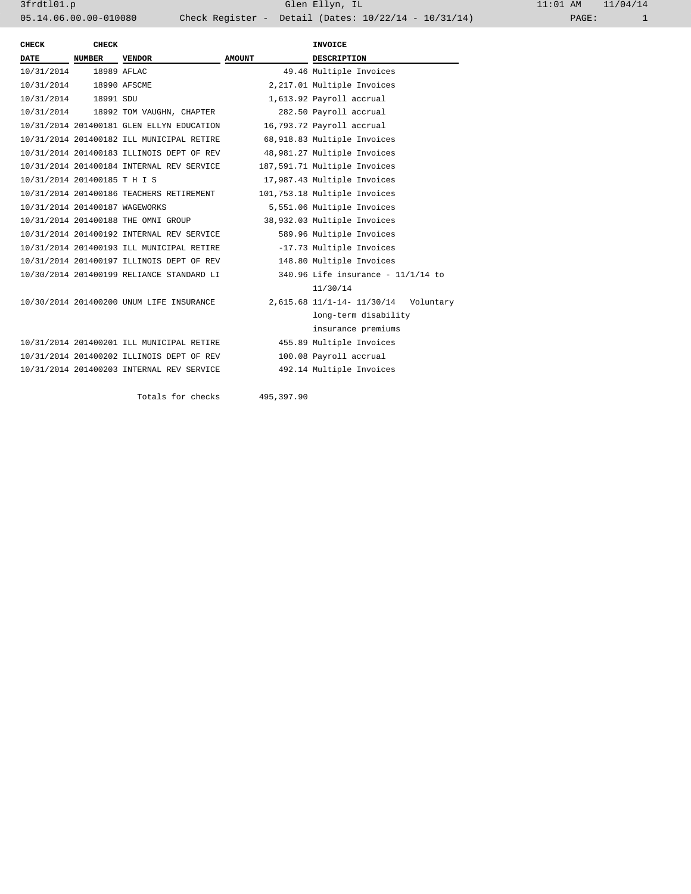3frdtl01.p Glen Ellyn, IL 11:01 AM 11/04/14 05.14.06.00.00-010080 Check Register - Detail (Dates: 10/22/14 - 10/31/14)

| <b>CHECK</b>                   | <b>CHECK</b>  |                                           |               | <b>INVOICE</b>                       |  |  |
|--------------------------------|---------------|-------------------------------------------|---------------|--------------------------------------|--|--|
| <b>DATE</b>                    | <b>NUMBER</b> | <b>VENDOR</b>                             | <b>AMOUNT</b> | <b>DESCRIPTION</b>                   |  |  |
| 10/31/2014                     | 18989 AFLAC   |                                           |               | 49.46 Multiple Invoices              |  |  |
| 10/31/2014 18990 AFSCME        |               |                                           |               | 2,217.01 Multiple Invoices           |  |  |
| 10/31/2014 18991 SDU           |               |                                           |               | 1,613.92 Payroll accrual             |  |  |
|                                |               | 10/31/2014 18992 TOM VAUGHN, CHAPTER      |               | 282.50 Payroll accrual               |  |  |
|                                |               | 10/31/2014 201400181 GLEN ELLYN EDUCATION |               | 16,793.72 Payroll accrual            |  |  |
|                                |               | 10/31/2014 201400182 ILL MUNICIPAL RETIRE |               | 68,918.83 Multiple Invoices          |  |  |
|                                |               | 10/31/2014 201400183 ILLINOIS DEPT OF REV |               | 48,981.27 Multiple Invoices          |  |  |
|                                |               | 10/31/2014 201400184 INTERNAL REV SERVICE |               | 187,591.71 Multiple Invoices         |  |  |
| 10/31/2014 201400185 T H I S   |               |                                           |               | 17,987.43 Multiple Invoices          |  |  |
|                                |               | 10/31/2014 201400186 TEACHERS RETIREMENT  |               | 101,753.18 Multiple Invoices         |  |  |
| 10/31/2014 201400187 WAGEWORKS |               |                                           |               | 5,551.06 Multiple Invoices           |  |  |
|                                |               | 10/31/2014 201400188 THE OMNI GROUP       |               | 38,932.03 Multiple Invoices          |  |  |
|                                |               | 10/31/2014 201400192 INTERNAL REV SERVICE |               | 589.96 Multiple Invoices             |  |  |
|                                |               | 10/31/2014 201400193 ILL MUNICIPAL RETIRE |               | -17.73 Multiple Invoices             |  |  |
|                                |               | 10/31/2014 201400197 ILLINOIS DEPT OF REV |               | 148.80 Multiple Invoices             |  |  |
|                                |               | 10/30/2014 201400199 RELIANCE STANDARD LI |               | 340.96 Life insurance - $11/1/14$ to |  |  |
|                                |               |                                           |               | 11/30/14                             |  |  |
|                                |               | 10/30/2014 201400200 UNUM LIFE INSURANCE  |               | 2,615.68 11/1-14- 11/30/14 Voluntary |  |  |
|                                |               |                                           |               | long-term disability                 |  |  |
|                                |               |                                           |               | insurance premiums                   |  |  |
|                                |               | 10/31/2014 201400201 ILL MUNICIPAL RETIRE |               | 455.89 Multiple Invoices             |  |  |
|                                |               | 10/31/2014 201400202 ILLINOIS DEPT OF REV |               | 100.08 Payroll accrual               |  |  |
|                                |               | 10/31/2014 201400203 INTERNAL REV SERVICE |               | 492.14 Multiple Invoices             |  |  |
|                                |               |                                           |               |                                      |  |  |
|                                |               | Totals for checks                         | 495,397.90    |                                      |  |  |